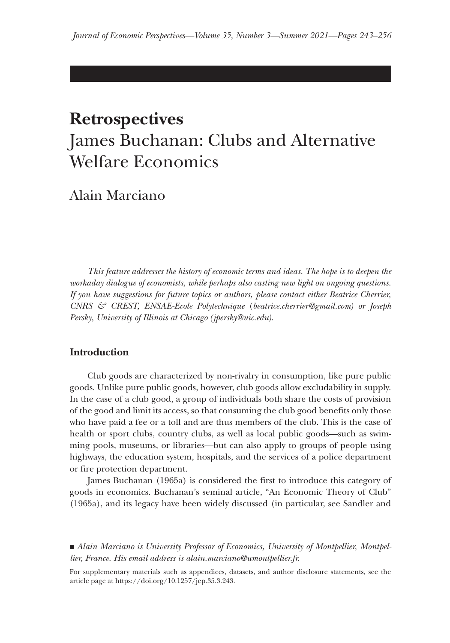# **Retrospectives** James Buchanan: Clubs and Alternative Welfare Economics

Alain Marciano

*This feature addresses the history of economic terms and ideas. The hope is to deepen the workaday dialogue of economists, while perhaps also casting new light on ongoing questions. If you have suggestions for future topics or authors, please contact either Beatrice Cherrier, CNRS & CREST, ENSAE-Ecole Polytechnique* (*beatrice.cherrier@gmail.com) or Joseph Persky, University of Illinois at Chicago (jpersky@uic.edu)*.

## **Introduction**

Club goods are characterized by non-rivalry in consumption, like pure public goods. Unlike pure public goods, however, club goods allow excludability in supply. In the case of a club good, a group of individuals both share the costs of provision of the good and limit its access, so that consuming the club good benefits only those who have paid a fee or a toll and are thus members of the club. This is the case of health or sport clubs, country clubs, as well as local public goods—such as swimming pools, museums, or libraries—but can also apply to groups of people using highways, the education system, hospitals, and the services of a police department or fire protection department.

James Buchanan (1965a) is considered the first to introduce this category of goods in economics. Buchanan's seminal article, "An Economic Theory of Club" (1965a), and its legacy have been widely discussed (in particular, see Sandler and

■ *Alain Marciano is University Professor of Economics, University of Montpellier, Montpellier, France. His email address is [alain.marciano@umontpellier.fr](mailto:alain.marciano@umontpellier.fr).*

For supplementary materials such as appendices, datasets, and author disclosure statements, see the article page at https://doi.org/10.1257/jep.35.3.243.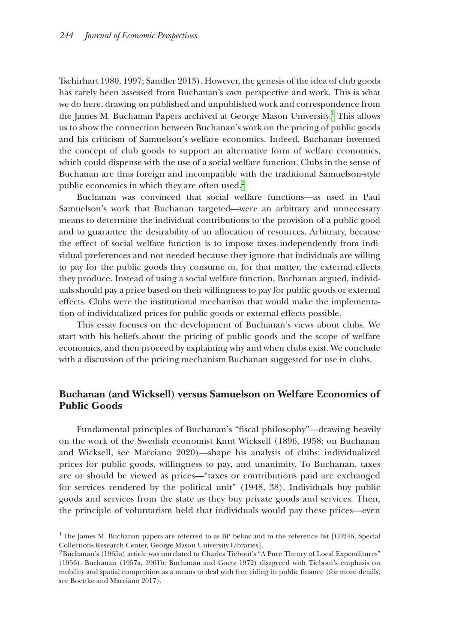Tschirhart 1980, 1997; Sandler 2013). However, the genesis of the idea of club goods has rarely been assessed from Buchanan's own perspective and work. This is what we do here, drawing on published and unpublished work and correspondence from the James M. Buchanan Papers archived at George Mason University.<sup>[1](#page-1-0)</sup> This allows us to show the connection between Buchanan's work on the pricing of public goods and his criticism of Samuelson's welfare economics. Indeed, Buchanan invented the concept of club goods to support an alternative form of welfare economics, which could dispense with the use of a social welfare function. Clubs in the sense of Buchanan are thus foreign and incompatible with the traditional Samuelson-style public economics in which they are often used.<sup>[2](#page-1-1)</sup>

Buchanan was convinced that social welfare functions—as used in Paul Samuelson's work that Buchanan targeted—were an arbitrary and unnecessary means to determine the individual contributions to the provision of a public good and to guarantee the desirability of an allocation of resources. Arbitrary, because the effect of social welfare function is to impose taxes independently from individual preferences and not needed because they ignore that individuals are willing to pay for the public goods they consume or, for that matter, the external effects they produce. Instead of using a social welfare function, Buchanan argued, individuals should pay a price based on their willingness to pay for public goods or external effects. Clubs were the institutional mechanism that would make the implementation of individualized prices for public goods or external effects possible.

This essay focuses on the development of Buchanan's views about clubs. We start with his beliefs about the pricing of public goods and the scope of welfare economics, and then proceed by explaining why and when clubs exist. We conclude with a discussion of the pricing mechanism Buchanan suggested for use in clubs.

# **Buchanan (and Wicksell) versus Samuelson on Welfare Economics of Public Goods**

Fundamental principles of Buchanan's "fiscal philosophy"—drawing heavily on the work of the Swedish economist Knut Wicksell (1896, 1958; on Buchanan and Wicksell, see Marciano 2020)—shape his analysis of clubs: individualized prices for public goods, willingness to pay, and unanimity. To Buchanan, taxes are or should be viewed as prices—"taxes or contributions paid are exchanged for services rendered by the political unit" (1948, 38). Individuals buy public goods and services from the state as they buy private goods and services. Then, the principle of voluntarism held that individuals would pay these prices—even

<span id="page-1-0"></span><sup>&</sup>lt;sup>1</sup>The James M. Buchanan papers are referred to as BP below and in the reference list [C0246, Special] Collections Research Center, George Mason University Libraries].

<span id="page-1-1"></span><sup>&</sup>lt;sup>2</sup>Buchanan's (1965a) article was unrelated to Charles Tiebout's "A Pure Theory of Local Expenditures" (1956). Buchanan (1957a, 1961b; Buchanan and Goetz 1972) disagreed with Tiebout's emphasis on mobility and spatial competition as a means to deal with free riding in public finance (for more details, see Boettke and Marciano 2017).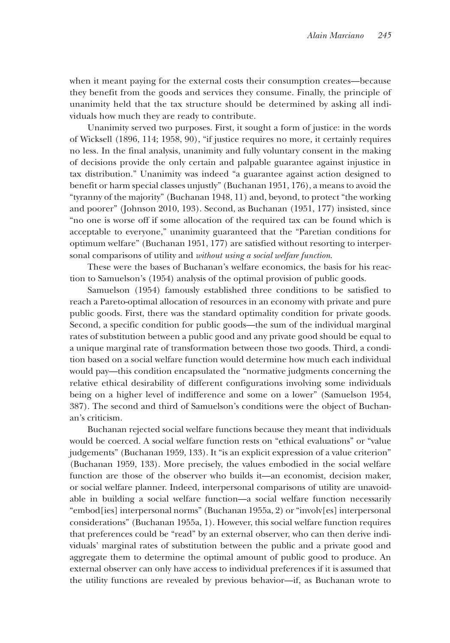when it meant paying for the external costs their consumption creates—because they benefit from the goods and services they consume. Finally, the principle of unanimity held that the tax structure should be determined by asking all individuals how much they are ready to contribute.

Unanimity served two purposes. First, it sought a form of justice: in the words of Wicksell (1896, 114; 1958, 90), "if justice requires no more, it certainly requires no less. In the final analysis, unanimity and fully voluntary consent in the making of decisions provide the only certain and palpable guarantee against injustice in tax distribution." Unanimity was indeed "a guarantee against action designed to benefit or harm special classes unjustly" (Buchanan 1951, 176), a means to avoid the "tyranny of the majority" (Buchanan 1948, 11) and, beyond, to protect "the working and poorer" (Johnson 2010, 193). Second, as Buchanan (1951, 177) insisted, since "no one is worse off if some allocation of the required tax can be found which is acceptable to everyone," unanimity guaranteed that the "Paretian conditions for optimum welfare" (Buchanan 1951, 177) are satisfied without resorting to interpersonal comparisons of utility and *without using a social welfare function*.

These were the bases of Buchanan's welfare economics, the basis for his reaction to Samuelson's (1954) analysis of the optimal provision of public goods.

Samuelson (1954) famously established three conditions to be satisfied to reach a Pareto-optimal allocation of resources in an economy with private and pure public goods. First, there was the standard optimality condition for private goods. Second, a specific condition for public goods—the sum of the individual marginal rates of substitution between a public good and any private good should be equal to a unique marginal rate of transformation between those two goods. Third, a condition based on a social welfare function would determine how much each individual would pay—this condition encapsulated the "normative judgments concerning the relative ethical desirability of different configurations involving some individuals being on a higher level of indifference and some on a lower" (Samuelson 1954, 387). The second and third of Samuelson's conditions were the object of Buchanan's criticism.

Buchanan rejected social welfare functions because they meant that individuals would be coerced. A social welfare function rests on "ethical evaluations" or "value judgements" (Buchanan 1959, 133). It "is an explicit expression of a value criterion" (Buchanan 1959, 133). More precisely, the values embodied in the social welfare function are those of the observer who builds it—an economist, decision maker, or social welfare planner. Indeed, interpersonal comparisons of utility are unavoidable in building a social welfare function—a social welfare function necessarily "embod[ies] interpersonal norms" (Buchanan 1955a, 2) or "involv[es] interpersonal considerations" (Buchanan 1955a, 1). However, this social welfare function requires that preferences could be "read" by an external observer, who can then derive individuals' marginal rates of substitution between the public and a private good and aggregate them to determine the optimal amount of public good to produce. An external observer can only have access to individual preferences if it is assumed that the utility functions are revealed by previous behavior—if, as Buchanan wrote to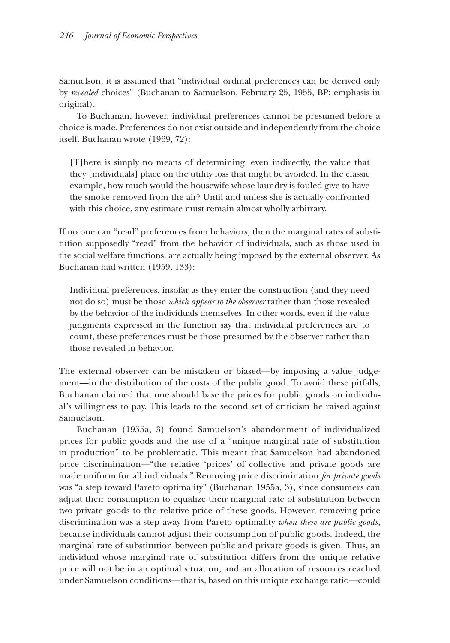Samuelson, it is assumed that "individual ordinal preferences can be derived only by *revealed* choices" (Buchanan to Samuelson, February 25, 1955, BP; emphasis in original).

To Buchanan, however, individual preferences cannot be presumed before a choice is made. Preferences do not exist outside and independently from the choice itself. Buchanan wrote (1969, 72):

[T]here is simply no means of determining, even indirectly, the value that they [individuals] place on the utility loss that might be avoided. In the classic example, how much would the housewife whose laundry is fouled give to have the smoke removed from the air? Until and unless she is actually confronted with this choice, any estimate must remain almost wholly arbitrary.

If no one can "read" preferences from behaviors, then the marginal rates of substitution supposedly "read" from the behavior of individuals, such as those used in the social welfare functions, are actually being imposed by the external observer. As Buchanan had written (1959, 133):

Individual preferences, insofar as they enter the construction (and they need not do so) must be those *which appear to the observer* rather than those revealed by the behavior of the individuals themselves. In other words, even if the value judgments expressed in the function say that individual preferences are to count, these preferences must be those presumed by the observer rather than those revealed in behavior.

The external observer can be mistaken or biased—by imposing a value judgement—in the distribution of the costs of the public good. To avoid these pitfalls, Buchanan claimed that one should base the prices for public goods on individual's willingness to pay. This leads to the second set of criticism he raised against Samuelson.

Buchanan (1955a, 3) found Samuelson's abandonment of individualized prices for public goods and the use of a "unique marginal rate of substitution in production" to be problematic. This meant that Samuelson had abandoned price discrimination—"the relative 'prices' of collective and private goods are made uniform for all individuals." Removing price discrimination *for private goods*  was "a step toward Pareto optimality" (Buchanan 1955a, 3), since consumers can adjust their consumption to equalize their marginal rate of substitution between two private goods to the relative price of these goods. However, removing price discrimination was a step away from Pareto optimality *when there are public goods*, because individuals cannot adjust their consumption of public goods. Indeed, the marginal rate of substitution between public and private goods is given. Thus, an individual whose marginal rate of substitution differs from the unique relative price will not be in an optimal situation, and an allocation of resources reached under Samuelson conditions—that is, based on this unique exchange ratio—could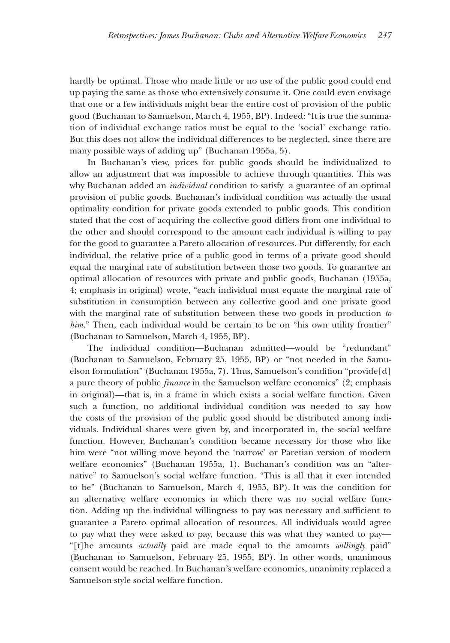hardly be optimal. Those who made little or no use of the public good could end up paying the same as those who extensively consume it. One could even envisage that one or a few individuals might bear the entire cost of provision of the public good (Buchanan to Samuelson, March 4, 1955, BP). Indeed: "It is true the summation of individual exchange ratios must be equal to the 'social' exchange ratio. But this does not allow the individual differences to be neglected, since there are many possible ways of adding up" (Buchanan 1955a, 5).

In Buchanan's view, prices for public goods should be individualized to allow an adjustment that was impossible to achieve through quantities. This was why Buchanan added an *individual* condition to satisfy a guarantee of an optimal provision of public goods. Buchanan's individual condition was actually the usual optimality condition for private goods extended to public goods. This condition stated that the cost of acquiring the collective good differs from one individual to the other and should correspond to the amount each individual is willing to pay for the good to guarantee a Pareto allocation of resources. Put differently, for each individual, the relative price of a public good in terms of a private good should equal the marginal rate of substitution between those two goods. To guarantee an optimal allocation of resources with private and public goods, Buchanan (1955a, 4; emphasis in original) wrote, "each individual must equate the marginal rate of substitution in consumption between any collective good and one private good with the marginal rate of substitution between these two goods in production *to*  him." Then, each individual would be certain to be on "his own utility frontier" (Buchanan to Samuelson, March 4, 1955, BP).

The individual condition—Buchanan admitted—would be "redundant" (Buchanan to Samuelson, February 25, 1955, BP) or "not needed in the Samuelson formulation" (Buchanan 1955a, 7). Thus, Samuelson's condition "provide[d] a pure theory of public *finance* in the Samuelson welfare economics" (2; emphasis in original)—that is, in a frame in which exists a social welfare function. Given such a function, no additional individual condition was needed to say how the costs of the provision of the public good should be distributed among individuals. Individual shares were given by, and incorporated in, the social welfare function. However, Buchanan's condition became necessary for those who like him were "not willing move beyond the 'narrow' or Paretian version of modern welfare economics" (Buchanan 1955a, 1). Buchanan's condition was an "alternative" to Samuelson's social welfare function. "This is all that it ever intended to be" (Buchanan to Samuelson, March 4, 1955, BP). It was the condition for an alternative welfare economics in which there was no social welfare function. Adding up the individual willingness to pay was necessary and sufficient to guarantee a Pareto optimal allocation of resources. All individuals would agree to pay what they were asked to pay, because this was what they wanted to pay— "[t]he amounts *actually* paid are made equal to the amounts *willingly* paid" (Buchanan to Samuelson, February 25, 1955, BP). In other words, unanimous consent would be reached. In Buchanan's welfare economics, unanimity replaced a Samuelson-style social welfare function.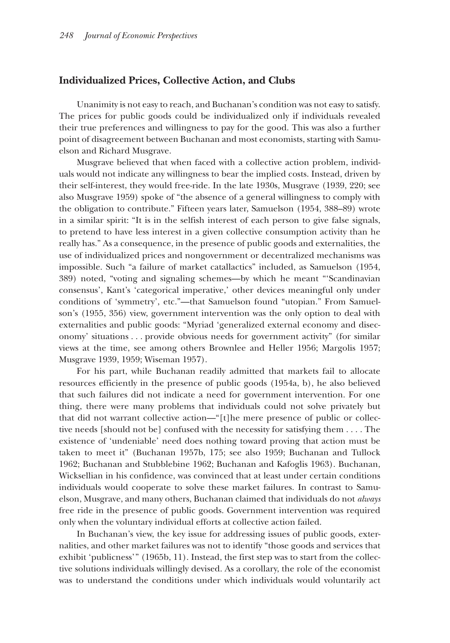#### **Individualized Prices, Collective Action, and Clubs**

Unanimity is not easy to reach, and Buchanan's condition was not easy to satisfy. The prices for public goods could be individualized only if individuals revealed their true preferences and willingness to pay for the good. This was also a further point of disagreement between Buchanan and most economists, starting with Samuelson and Richard Musgrave.

Musgrave believed that when faced with a collective action problem, individuals would not indicate any willingness to bear the implied costs. Instead, driven by their self-interest, they would free-ride. In the late 1930s, Musgrave (1939, 220; see also Musgrave 1959) spoke of "the absence of a general willingness to comply with the obligation to contribute." Fifteen years later, Samuelson (1954, 388–89) wrote in a similar spirit: "It is in the selfish interest of each person to give false signals, to pretend to have less interest in a given collective consumption activity than he really has." As a consequence, in the presence of public goods and externalities, the use of individualized prices and nongovernment or decentralized mechanisms was impossible. Such "a failure of market catallactics" included, as Samuelson (1954, 389) noted, "voting and signaling schemes—by which he meant "'Scandinavian consensus', Kant's 'categorical imperative,' other devices meaningful only under conditions of 'symmetry', etc."—that Samuelson found "utopian." From Samuelson's (1955, 356) view, government intervention was the only option to deal with externalities and public goods: "Myriad 'generalized external economy and diseconomy' situations . . . provide obvious needs for government activity" (for similar views at the time, see among others Brownlee and Heller 1956; Margolis 1957; Musgrave 1939, 1959; Wiseman 1957).

For his part, while Buchanan readily admitted that markets fail to allocate resources efficiently in the presence of public goods (1954a, b), he also believed that such failures did not indicate a need for government intervention. For one thing, there were many problems that individuals could not solve privately but that did not warrant collective action—"[t]he mere presence of public or collective needs [should not be] confused with the necessity for satisfying them . . . . The existence of 'undeniable' need does nothing toward proving that action must be taken to meet it" (Buchanan 1957b, 175; see also 1959; Buchanan and Tullock 1962; Buchanan and Stubblebine 1962; Buchanan and Kafoglis 1963). Buchanan, Wicksellian in his confidence, was convinced that at least under certain conditions individuals would cooperate to solve these market failures. In contrast to Samuelson, Musgrave, and many others, Buchanan claimed that individuals do not *always* free ride in the presence of public goods. Government intervention was required only when the voluntary individual efforts at collective action failed.

In Buchanan's view, the key issue for addressing issues of public goods, externalities, and other market failures was not to identify "those goods and services that exhibit 'publicness'" (1965b, 11). Instead, the first step was to start from the collective solutions individuals willingly devised. As a corollary, the role of the economist was to understand the conditions under which individuals would voluntarily act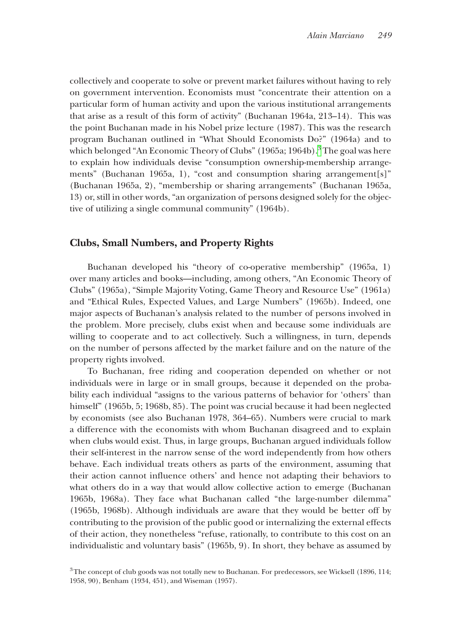collectively and cooperate to solve or prevent market failures without having to rely on government intervention. Economists must "concentrate their attention on a particular form of human activity and upon the various institutional arrangements that arise as a result of this form of activity" (Buchanan 1964a, 213–14). This was the point Buchanan made in his Nobel prize lecture (1987). This was the research program Buchanan outlined in "What Should Economists Do?" (1964a) and to which belonged "An Economic Theory of Clubs" (1965a; 1964b).<sup>[3](#page-6-0)</sup> The goal was here to explain how individuals devise "consumption ownership-membership arrangements" (Buchanan 1965a, 1), "cost and consumption sharing arrangement[s]" (Buchanan 1965a, 2), "membership or sharing arrangements" (Buchanan 1965a, 13) or, still in other words, "an organization of persons designed solely for the objective of utilizing a single communal community" (1964b).

## **Clubs, Small Numbers, and Property Rights**

Buchanan developed his "theory of co-operative membership" (1965a, 1) over many articles and books—including, among others, "An Economic Theory of Clubs" (1965a), "Simple Majority Voting, Game Theory and Resource Use" (1961a) and "Ethical Rules, Expected Values, and Large Numbers" (1965b). Indeed, one major aspects of Buchanan's analysis related to the number of persons involved in the problem. More precisely, clubs exist when and because some individuals are willing to cooperate and to act collectively. Such a willingness, in turn, depends on the number of persons affected by the market failure and on the nature of the property rights involved.

To Buchanan, free riding and cooperation depended on whether or not individuals were in large or in small groups, because it depended on the probability each individual "assigns to the various patterns of behavior for 'others' than himself" (1965b, 5; 1968b, 85). The point was crucial because it had been neglected by economists (see also Buchanan 1978, 364–65). Numbers were crucial to mark a difference with the economists with whom Buchanan disagreed and to explain when clubs would exist. Thus, in large groups, Buchanan argued individuals follow their self-interest in the narrow sense of the word independently from how others behave. Each individual treats others as parts of the environment, assuming that their action cannot influence others' and hence not adapting their behaviors to what others do in a way that would allow collective action to emerge (Buchanan 1965b, 1968a). They face what Buchanan called "the large-number dilemma" (1965b, 1968b). Although individuals are aware that they would be better off by contributing to the provision of the public good or internalizing the external effects of their action, they nonetheless "refuse, rationally, to contribute to this cost on an individualistic and voluntary basis" (1965b, 9). In short, they behave as assumed by

<span id="page-6-0"></span><sup>&</sup>lt;sup>3</sup>The concept of club goods was not totally new to Buchanan. For predecessors, see Wicksell (1896, 114; 1958, 90), Benham (1934, 451), and Wiseman (1957).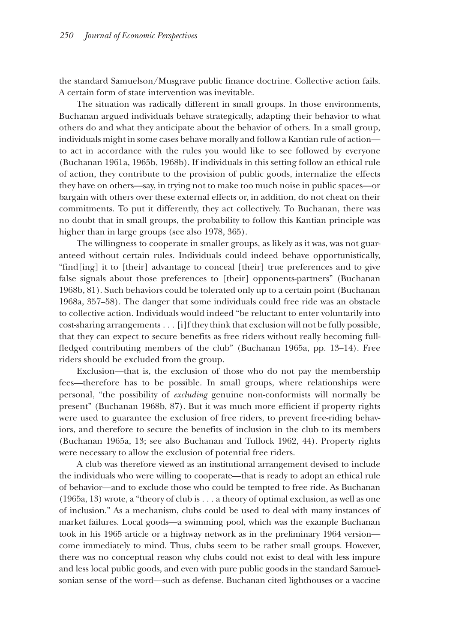the standard Samuelson/Musgrave public finance doctrine. Collective action fails. A certain form of state intervention was inevitable.

The situation was radically different in small groups. In those environments, Buchanan argued individuals behave strategically, adapting their behavior to what others do and what they anticipate about the behavior of others. In a small group, individuals might in some cases behave morally and follow a Kantian rule of action to act in accordance with the rules you would like to see followed by everyone (Buchanan 1961a, 1965b, 1968b). If individuals in this setting follow an ethical rule of action, they contribute to the provision of public goods, internalize the effects they have on others—say, in trying not to make too much noise in public spaces—or bargain with others over these external effects or, in addition, do not cheat on their commitments. To put it differently, they act collectively. To Buchanan, there was no doubt that in small groups, the probability to follow this Kantian principle was higher than in large groups (see also 1978, 365).

The willingness to cooperate in smaller groups, as likely as it was, was not guaranteed without certain rules. Individuals could indeed behave opportunistically, "find[ing] it to [their] advantage to conceal [their] true preferences and to give false signals about those preferences to [their] opponents-partners" (Buchanan 1968b, 81). Such behaviors could be tolerated only up to a certain point (Buchanan 1968a, 357–58). The danger that some individuals could free ride was an obstacle to collective action. Individuals would indeed "be reluctant to enter voluntarily into cost-sharing arrangements . . . [i]f they think that exclusion will not be fully possible, that they can expect to secure benefits as free riders without really becoming fullfledged contributing members of the club" (Buchanan 1965a, pp. 13–14). Free riders should be excluded from the group.

Exclusion—that is, the exclusion of those who do not pay the membership fees—therefore has to be possible. In small groups, where relationships were personal, "the possibility of *excluding* genuine non-conformists will normally be present" (Buchanan 1968b, 87). But it was much more efficient if property rights were used to guarantee the exclusion of free riders, to prevent free-riding behaviors, and therefore to secure the benefits of inclusion in the club to its members (Buchanan 1965a, 13; see also Buchanan and Tullock 1962, 44). Property rights were necessary to allow the exclusion of potential free riders.

A club was therefore viewed as an institutional arrangement devised to include the individuals who were willing to cooperate—that is ready to adopt an ethical rule of behavior—and to exclude those who could be tempted to free ride. As Buchanan (1965a, 13) wrote, a "theory of club is . . . a theory of optimal exclusion, as well as one of inclusion." As a mechanism, clubs could be used to deal with many instances of market failures. Local goods—a swimming pool, which was the example Buchanan took in his 1965 article or a highway network as in the preliminary 1964 version come immediately to mind. Thus, clubs seem to be rather small groups. However, there was no conceptual reason why clubs could not exist to deal with less impure and less local public goods, and even with pure public goods in the standard Samuelsonian sense of the word—such as defense. Buchanan cited lighthouses or a vaccine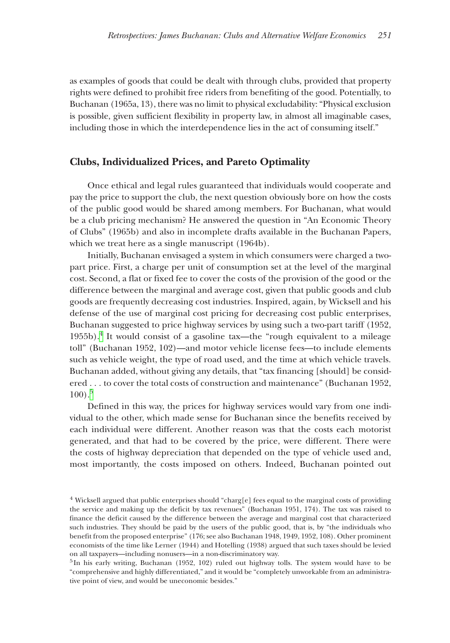as examples of goods that could be dealt with through clubs, provided that property rights were defined to prohibit free riders from benefiting of the good. Potentially, to Buchanan (1965a, 13), there was no limit to physical excludability: "Physical exclusion is possible, given sufficient flexibility in property law, in almost all imaginable cases, including those in which the interdependence lies in the act of consuming itself."

#### **Clubs, Individualized Prices, and Pareto Optimality**

Once ethical and legal rules guaranteed that individuals would cooperate and pay the price to support the club, the next question obviously bore on how the costs of the public good would be shared among members. For Buchanan, what would be a club pricing mechanism? He answered the question in "An Economic Theory of Clubs" (1965b) and also in incomplete drafts available in the Buchanan Papers, which we treat here as a single manuscript (1964b).

Initially, Buchanan envisaged a system in which consumers were charged a twopart price. First, a charge per unit of consumption set at the level of the marginal cost. Second, a flat or fixed fee to cover the costs of the provision of the good or the difference between the marginal and average cost, given that public goods and club goods are frequently decreasing cost industries. Inspired, again, by Wicksell and his defense of the use of marginal cost pricing for decreasing cost public enterprises, Buchanan suggested to price highway services by using such a two-part tariff (1952, 1955b). $4$  It would consist of a gasoline tax—the "rough equivalent to a mileage toll" (Buchanan 1952, 102)—and motor vehicle license fees—to include elements such as vehicle weight, the type of road used, and the time at which vehicle travels. Buchanan added, without giving any details, that "tax financing [should] be considered . . . to cover the total costs of construction and maintenance" (Buchanan 1952,  $100$ ).<sup>[5](#page-8-1)</sup>

Defined in this way, the prices for highway services would vary from one individual to the other, which made sense for Buchanan since the benefits received by each individual were different. Another reason was that the costs each motorist generated, and that had to be covered by the price, were different. There were the costs of highway depreciation that depended on the type of vehicle used and, most importantly, the costs imposed on others. Indeed, Buchanan pointed out

<span id="page-8-0"></span><sup>4</sup> Wicksell argued that public enterprises should "charg[e] fees equal to the marginal costs of providing the service and making up the deficit by tax revenues" (Buchanan 1951, 174). The tax was raised to finance the deficit caused by the difference between the average and marginal cost that characterized such industries. They should be paid by the users of the public good, that is, by "the individuals who benefit from the proposed enterprise" (176; see also Buchanan 1948, 1949, 1952, 108). Other prominent economists of the time like Lerner (1944) and Hotelling (1938) argued that such taxes should be levied on all taxpayers—including nonusers—in a non-discriminatory way.

<span id="page-8-1"></span> $5$ In his early writing, Buchanan (1952, 102) ruled out highway tolls. The system would have to be "comprehensive and highly differentiated," and it would be "completely unworkable from an administrative point of view, and would be uneconomic besides."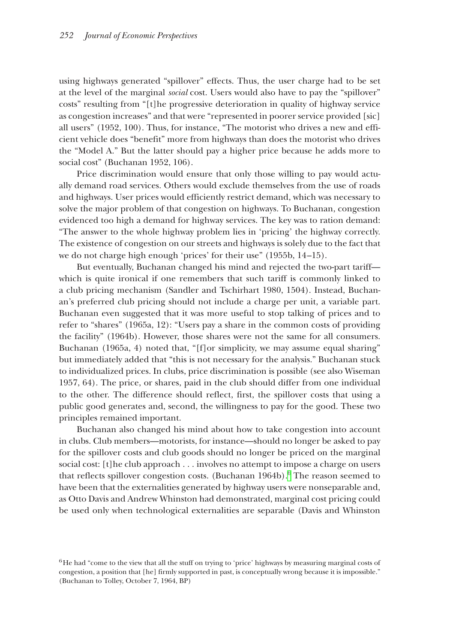using highways generated "spillover" effects. Thus, the user charge had to be set at the level of the marginal *social* cost. Users would also have to pay the "spillover" costs" resulting from "[t]he progressive deterioration in quality of highway service as congestion increases" and that were "represented in poorer service provided [sic] all users" (1952, 100). Thus, for instance, "The motorist who drives a new and efficient vehicle does "benefit" more from highways than does the motorist who drives the "Model A." But the latter should pay a higher price because he adds more to social cost" (Buchanan 1952, 106).

Price discrimination would ensure that only those willing to pay would actually demand road services. Others would exclude themselves from the use of roads and highways. User prices would efficiently restrict demand, which was necessary to solve the major problem of that congestion on highways. To Buchanan, congestion evidenced too high a demand for highway services. The key was to ration demand: "The answer to the whole highway problem lies in 'pricing' the highway correctly. The existence of congestion on our streets and highways is solely due to the fact that we do not charge high enough 'prices' for their use" (1955b, 14 –15).

But eventually, Buchanan changed his mind and rejected the two-part tariff which is quite ironical if one remembers that such tariff is commonly linked to a club pricing mechanism (Sandler and Tschirhart 1980, 1504). Instead, Buchanan's preferred club pricing should not include a charge per unit, a variable part. Buchanan even suggested that it was more useful to stop talking of prices and to refer to "shares" (1965a, 12): "Users pay a share in the common costs of providing the facility" (1964b). However, those shares were not the same for all consumers. Buchanan (1965a, 4) noted that, "[f]or simplicity, we may assume equal sharing" but immediately added that "this is not necessary for the analysis." Buchanan stuck to individualized prices. In clubs, price discrimination is possible (see also Wiseman 1957, 64). The price, or shares, paid in the club should differ from one individual to the other. The difference should reflect, first, the spillover costs that using a public good generates and, second, the willingness to pay for the good. These two principles remained important.

Buchanan also changed his mind about how to take congestion into account in clubs. Club members—motorists, for instance—should no longer be asked to pay for the spillover costs and club goods should no longer be priced on the marginal social cost: [t]he club approach . . . involves no attempt to impose a charge on users that reflects spillover congestion costs. (Buchanan 1964b).<sup>6</sup> The reason seemed to have been that the externalities generated by highway users were nonseparable and, as Otto Davis and Andrew Whinston had demonstrated, marginal cost pricing could be used only when technological externalities are separable (Davis and Whinston

<span id="page-9-0"></span><sup>&</sup>lt;sup>6</sup>He had "come to the view that all the stuff on trying to 'price' highways by measuring marginal costs of congestion, a position that [he] firmly supported in past, is conceptually wrong because it is impossible." (Buchanan to Tolley, October 7, 1964, BP)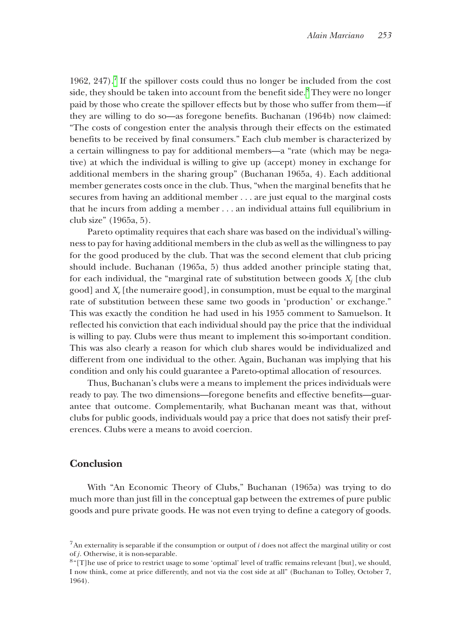1962,  $247$ ).<sup>7</sup> If the spillover costs could thus no longer be included from the cost side, they should be taken into account from the benefit side.<sup>[8](#page-10-1)</sup> They were no longer paid by those who create the spillover effects but by those who suffer from them—if they are willing to do so—as foregone benefits. Buchanan (1964b) now claimed: "The costs of congestion enter the analysis through their effects on the estimated benefits to be received by final consumers." Each club member is characterized by a certain willingness to pay for additional members—a "rate (which may be negative) at which the individual is willing to give up (accept) money in exchange for additional members in the sharing group" (Buchanan 1965a, 4). Each additional member generates costs once in the club. Thus, "when the marginal benefits that he secures from having an additional member . . . are just equal to the marginal costs that he incurs from adding a member . . . an individual attains full equilibrium in club size" (1965a, 5).

Pareto optimality requires that each share was based on the individual's willingness to pay for having additional members in the club as well as the willingness to pay for the good produced by the club. That was the second element that club pricing should include. Buchanan (1965a, 5) thus added another principle stating that, for each individual, the "marginal rate of substitution between goods  $X_j$  [the club good] and *Xr* [the numeraire good], in consumption, must be equal to the marginal rate of substitution between these same two goods in 'production' or exchange." This was exactly the condition he had used in his 1955 comment to Samuelson. It reflected his conviction that each individual should pay the price that the individual is willing to pay. Clubs were thus meant to implement this so-important condition. This was also clearly a reason for which club shares would be individualized and different from one individual to the other. Again, Buchanan was implying that his condition and only his could guarantee a Pareto-optimal allocation of resources.

Thus, Buchanan's clubs were a means to implement the prices individuals were ready to pay. The two dimensions—foregone benefits and effective benefits—guarantee that outcome. Complementarily, what Buchanan meant was that, without clubs for public goods, individuals would pay a price that does not satisfy their preferences. Clubs were a means to avoid coercion.

## **Conclusion**

With "An Economic Theory of Clubs," Buchanan (1965a) was trying to do much more than just fill in the conceptual gap between the extremes of pure public goods and pure private goods. He was not even trying to define a category of goods.

<span id="page-10-0"></span><sup>7</sup>An externality is separable if the consumption or output of *i* does not affect the marginal utility or cost of *j*. Otherwise, it is non-separable.<br><sup>8"</sup>[T]he use of price to restrict usage to some 'optimal' level of traffic remains relevant [but], we should,

<span id="page-10-1"></span>I now think, come at price differently, and not via the cost side at all" (Buchanan to Tolley, October 7, 1964).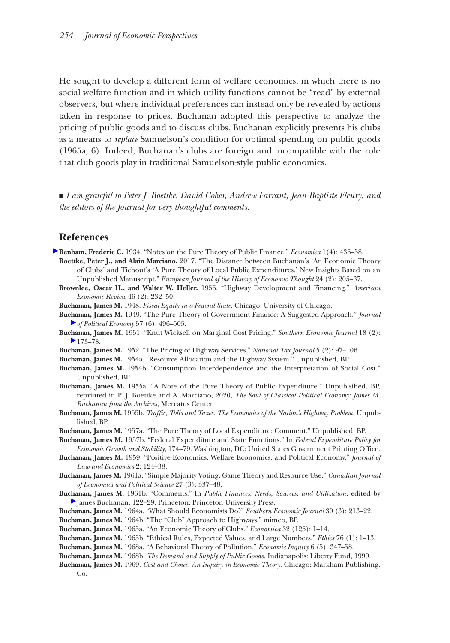He sought to develop a different form of welfare economics, in which there is no social welfare function and in which utility functions cannot be "read" by external observers, but where individual preferences can instead only be revealed by actions taken in response to prices. Buchanan adopted this perspective to analyze the pricing of public goods and to discuss clubs. Buchanan explicitly presents his clubs as a means to *replace* Samuelson's condition for optimal spending on public goods (1965a, 6). Indeed, Buchanan's clubs are foreign and incompatible with the role that club goods play in traditional Samuelson-style public economics.

■ *I am grateful to Peter J. Boettke, David Coker, Andrew Farrant, Jean-Baptiste Fleury, and the editors of the Journal for very thoughtful comments.*

### **References**

- **Benham, Frederic C.** 1934. "Notes on the Pure Theory of Public Finance." *Economica* 1(4): 436–58. **Boettke, Peter J., and Alain Marciano.** 2017. "The Distance between Buchanan's 'An Economic Theory of Clubs' and Tiebout's 'A Pure Theory of Local Public Expenditures.' New Insights Based on an Unpublished Manuscript." *European Journal of the History of Economic Thought* 24 (2): 205–37.
	- **Brownlee, Oscar H., and Walter W. Heller.** 1956. "Highway Development and Financing." *American Economic Review* 46 (2): 232–50.
	- **Buchanan, James M.** 1948. *Fiscal Equity in a Federal State*. Chicago: University of Chicago.
	- **Buchanan, James M.** 1949. "The Pure Theory of Government Finance: A Suggested Approach." *Journal of Political Economy* 57 (6): 496–505.
	- **Buchanan, James M.** 1951. "Knut Wicksell on Marginal Cost Pricing." *Southern Economic Journal* 18 (2):  $\blacktriangleright$  173–78.
	- **Buchanan, James M.** 1952. "The Pricing of Highway Services." *National Tax Journal* 5 (2): 97–106.
	- **Buchanan, James M.** 1954a. "Resource Allocation and the Highway System." Unpublished, BP.
	- **Buchanan, James M.** 1954b. "Consumption Interdependence and the Interpretation of Social Cost." Unpublished, BP.
	- **Buchanan, James M.** 1955a. "A Note of the Pure Theory of Public Expenditure." Unpublsihed, BP, reprinted in P. J. Boettke and A. Marciano, 2020, *The Soul of Classical Political Economy: James M. Buchanan from the Archives*, Mercatus Center.
	- **Buchanan, James M.** 1955b. *Traffic, Tolls and Taxes. The Economics of the Nation's Highway Problem*. Unpublished, BP.
	- **Buchanan, James M.** 1957a. "The Pure Theory of Local Expenditure: Comment." Unpublished, BP.
	- **Buchanan, James M.** 1957b. "Federal Expenditure and State Functions." In *Federal Expenditure Policy for Economic Growth and Stability*, 174–79. Washington, DC: United States Government Printing Office.
	- **Buchanan, James M.** 1959. "Positive Economics, Welfare Economics, and Political Economy." *Journal of Law and Economics* 2: 124–38.
	- **Buchanan, James M.** 1961a. "Simple Majority Voting, Game Theory and Resource Use." *Canadian Journal of Economics and Political Science* 27 (3): 337–48.
	- **Buchanan, James M.** 1961b. "Comments." In *Public Finances: Needs, Sources, and Utilization*, edited by James Buchanan, 122–29. Princeton: Princeton University Press.
	- **Buchanan, James M.** 1964a. "What Should Economists Do?" *Southern Economic Journal* 30 (3): 213–22.
	- **Buchanan, James M.** 1964b. "The "Club" Approach to Highways." mimeo, BP.
	- **Buchanan, James M.** 1965a. "An Economic Theory of Clubs." *Economica* 32 (125): 1–14.
	- **Buchanan, James M.** 1965b. "Ethical Rules, Expected Values, and Large Numbers." *Ethics* 76 (1): 1–13.
	- **Buchanan, James M.** 1968a. "A Behavioral Theory of Pollution." *Economic Inquiry* 6 (5): 347–58.
	- **Buchanan, James M.** 1968b. *The Demand and Supply of Public Goods*. Indianapolis: Liberty Fund, 1999.
	- **Buchanan, James M.** 1969. *Cost and Choice. An Inquiry in Economic Theory*. Chicago: Markham Publishing. Co.